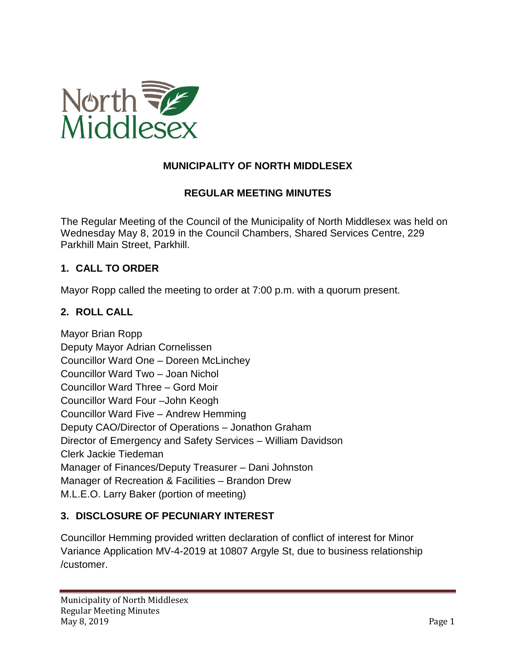

# **MUNICIPALITY OF NORTH MIDDLESEX**

### **REGULAR MEETING MINUTES**

The Regular Meeting of the Council of the Municipality of North Middlesex was held on Wednesday May 8, 2019 in the Council Chambers, Shared Services Centre, 229 Parkhill Main Street, Parkhill.

### **1. CALL TO ORDER**

Mayor Ropp called the meeting to order at 7:00 p.m. with a quorum present.

#### **2. ROLL CALL**

Mayor Brian Ropp Deputy Mayor Adrian Cornelissen Councillor Ward One – Doreen McLinchey Councillor Ward Two – Joan Nichol Councillor Ward Three – Gord Moir Councillor Ward Four –John Keogh Councillor Ward Five – Andrew Hemming Deputy CAO/Director of Operations – Jonathon Graham Director of Emergency and Safety Services – William Davidson Clerk Jackie Tiedeman Manager of Finances/Deputy Treasurer – Dani Johnston Manager of Recreation & Facilities – Brandon Drew M.L.E.O. Larry Baker (portion of meeting)

### **3. DISCLOSURE OF PECUNIARY INTEREST**

Councillor Hemming provided written declaration of conflict of interest for Minor Variance Application MV-4-2019 at 10807 Argyle St, due to business relationship /customer.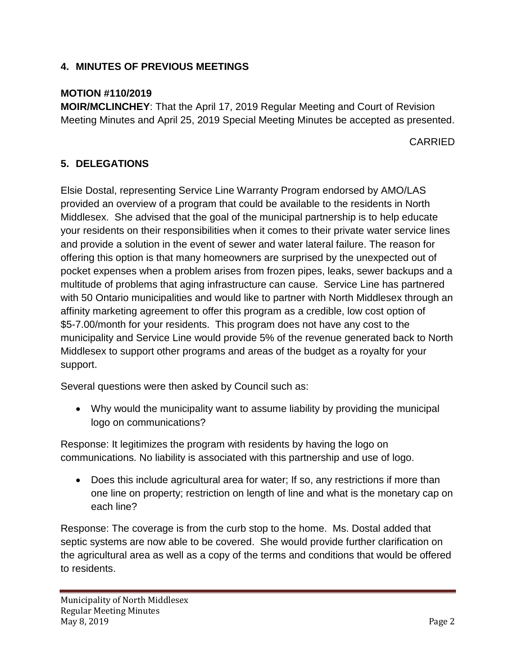# **4. MINUTES OF PREVIOUS MEETINGS**

# **MOTION #110/2019**

**MOIR/MCLINCHEY**: That the April 17, 2019 Regular Meeting and Court of Revision Meeting Minutes and April 25, 2019 Special Meeting Minutes be accepted as presented.

CARRIED

# **5. DELEGATIONS**

Elsie Dostal, representing Service Line Warranty Program endorsed by AMO/LAS provided an overview of a program that could be available to the residents in North Middlesex. She advised that the goal of the municipal partnership is to help educate your residents on their responsibilities when it comes to their private water service lines and provide a solution in the event of sewer and water lateral failure. The reason for offering this option is that many homeowners are surprised by the unexpected out of pocket expenses when a problem arises from frozen pipes, leaks, sewer backups and a multitude of problems that aging infrastructure can cause. Service Line has partnered with 50 Ontario municipalities and would like to partner with North Middlesex through an affinity marketing agreement to offer this program as a credible, low cost option of \$5-7.00/month for your residents. This program does not have any cost to the municipality and Service Line would provide 5% of the revenue generated back to North Middlesex to support other programs and areas of the budget as a royalty for your support.

Several questions were then asked by Council such as:

• Why would the municipality want to assume liability by providing the municipal logo on communications?

Response: It legitimizes the program with residents by having the logo on communications. No liability is associated with this partnership and use of logo.

• Does this include agricultural area for water; If so, any restrictions if more than one line on property; restriction on length of line and what is the monetary cap on each line?

Response: The coverage is from the curb stop to the home. Ms. Dostal added that septic systems are now able to be covered. She would provide further clarification on the agricultural area as well as a copy of the terms and conditions that would be offered to residents.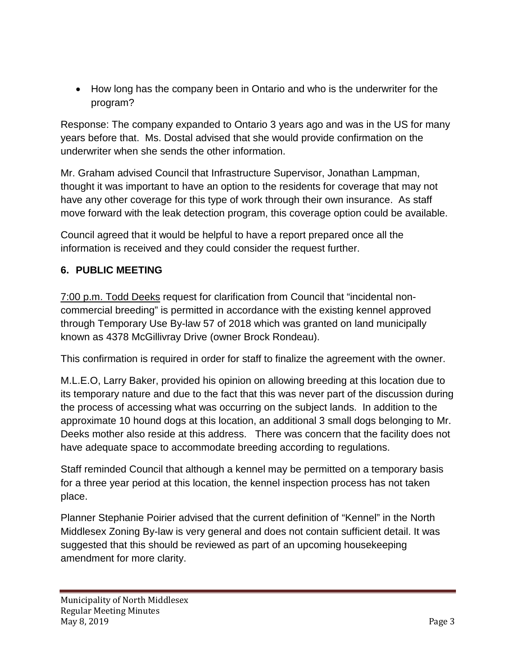• How long has the company been in Ontario and who is the underwriter for the program?

Response: The company expanded to Ontario 3 years ago and was in the US for many years before that. Ms. Dostal advised that she would provide confirmation on the underwriter when she sends the other information.

Mr. Graham advised Council that Infrastructure Supervisor, Jonathan Lampman, thought it was important to have an option to the residents for coverage that may not have any other coverage for this type of work through their own insurance. As staff move forward with the leak detection program, this coverage option could be available.

Council agreed that it would be helpful to have a report prepared once all the information is received and they could consider the request further.

# **6. PUBLIC MEETING**

7:00 p.m. Todd Deeks request for clarification from Council that "incidental noncommercial breeding" is permitted in accordance with the existing kennel approved through Temporary Use By-law 57 of 2018 which was granted on land municipally known as 4378 McGillivray Drive (owner Brock Rondeau).

This confirmation is required in order for staff to finalize the agreement with the owner.

M.L.E.O, Larry Baker, provided his opinion on allowing breeding at this location due to its temporary nature and due to the fact that this was never part of the discussion during the process of accessing what was occurring on the subject lands. In addition to the approximate 10 hound dogs at this location, an additional 3 small dogs belonging to Mr. Deeks mother also reside at this address. There was concern that the facility does not have adequate space to accommodate breeding according to regulations.

Staff reminded Council that although a kennel may be permitted on a temporary basis for a three year period at this location, the kennel inspection process has not taken place.

Planner Stephanie Poirier advised that the current definition of "Kennel" in the North Middlesex Zoning By-law is very general and does not contain sufficient detail. It was suggested that this should be reviewed as part of an upcoming housekeeping amendment for more clarity.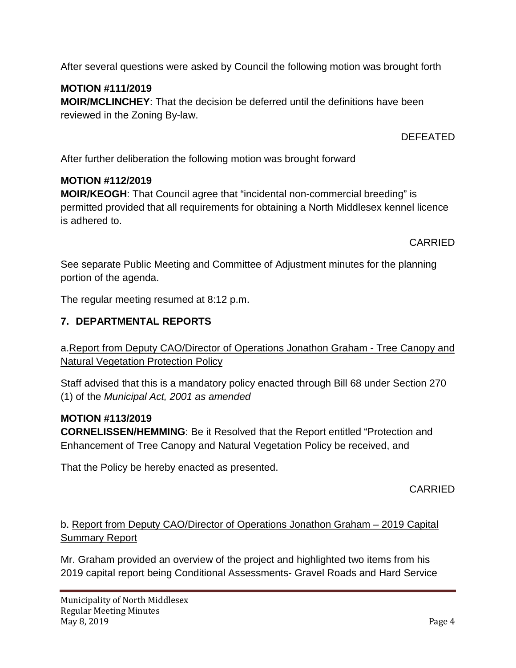After several questions were asked by Council the following motion was brought forth

# **MOTION #111/2019**

**MOIR/MCLINCHEY**: That the decision be deferred until the definitions have been reviewed in the Zoning By-law.

DEFEATED

After further deliberation the following motion was brought forward

### **MOTION #112/2019**

**MOIR/KEOGH**: That Council agree that "incidental non-commercial breeding" is permitted provided that all requirements for obtaining a North Middlesex kennel licence is adhered to.

CARRIED

See separate Public Meeting and Committee of Adjustment minutes for the planning portion of the agenda.

The regular meeting resumed at 8:12 p.m.

# **7. DEPARTMENTAL REPORTS**

a.Report from Deputy CAO/Director of Operations Jonathon Graham - Tree Canopy and Natural Vegetation Protection Policy

Staff advised that this is a mandatory policy enacted through Bill 68 under Section 270 (1) of the *Municipal Act, 2001 as amended*

### **MOTION #113/2019**

**CORNELISSEN/HEMMING**: Be it Resolved that the Report entitled "Protection and Enhancement of Tree Canopy and Natural Vegetation Policy be received, and

That the Policy be hereby enacted as presented.

CARRIED

# b. Report from Deputy CAO/Director of Operations Jonathon Graham – 2019 Capital Summary Report

Mr. Graham provided an overview of the project and highlighted two items from his 2019 capital report being Conditional Assessments- Gravel Roads and Hard Service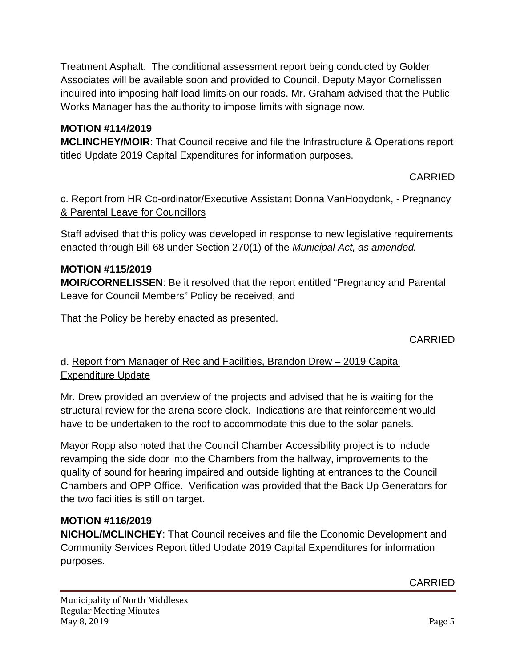Treatment Asphalt. The conditional assessment report being conducted by Golder Associates will be available soon and provided to Council. Deputy Mayor Cornelissen inquired into imposing half load limits on our roads. Mr. Graham advised that the Public Works Manager has the authority to impose limits with signage now.

## **MOTION #114/2019**

**MCLINCHEY/MOIR**: That Council receive and file the Infrastructure & Operations report titled Update 2019 Capital Expenditures for information purposes.

CARRIED

## c. Report from HR Co-ordinator/Executive Assistant Donna VanHooydonk, - Pregnancy & Parental Leave for Councillors

Staff advised that this policy was developed in response to new legislative requirements enacted through Bill 68 under Section 270(1) of the *Municipal Act, as amended.*

### **MOTION #115/2019**

**MOIR/CORNELISSEN**: Be it resolved that the report entitled "Pregnancy and Parental Leave for Council Members" Policy be received, and

That the Policy be hereby enacted as presented.

CARRIED

# d. Report from Manager of Rec and Facilities, Brandon Drew – 2019 Capital Expenditure Update

Mr. Drew provided an overview of the projects and advised that he is waiting for the structural review for the arena score clock. Indications are that reinforcement would have to be undertaken to the roof to accommodate this due to the solar panels.

Mayor Ropp also noted that the Council Chamber Accessibility project is to include revamping the side door into the Chambers from the hallway, improvements to the quality of sound for hearing impaired and outside lighting at entrances to the Council Chambers and OPP Office. Verification was provided that the Back Up Generators for the two facilities is still on target.

### **MOTION #116/2019**

**NICHOL/MCLINCHEY**: That Council receives and file the Economic Development and Community Services Report titled Update 2019 Capital Expenditures for information purposes.

CARRIED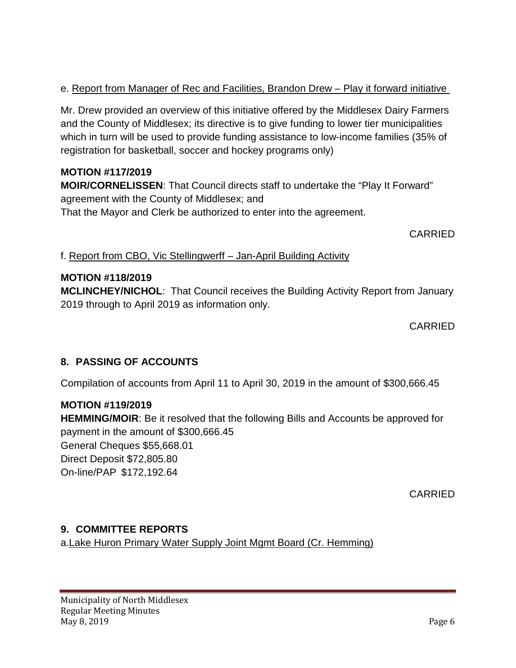# e. Report from Manager of Rec and Facilities, Brandon Drew – Play it forward initiative

Mr. Drew provided an overview of this initiative offered by the Middlesex Dairy Farmers and the County of Middlesex; its directive is to give funding to lower tier municipalities which in turn will be used to provide funding assistance to low-income families (35% of registration for basketball, soccer and hockey programs only)

### **MOTION #117/2019**

**MOIR/CORNELISSEN**: That Council directs staff to undertake the "Play It Forward" agreement with the County of Middlesex; and That the Mayor and Clerk be authorized to enter into the agreement.

CARRIED

f. Report from CBO, Vic Stellingwerff – Jan-April Building Activity

# **MOTION #118/2019**

**MCLINCHEY/NICHOL**: That Council receives the Building Activity Report from January 2019 through to April 2019 as information only.

CARRIED

# **8. PASSING OF ACCOUNTS**

Compilation of accounts from April 11 to April 30, 2019 in the amount of \$300,666.45

#### **MOTION #119/2019**

**HEMMING/MOIR**: Be it resolved that the following Bills and Accounts be approved for payment in the amount of \$300,666.45

General Cheques \$55,668.01 Direct Deposit \$72,805.80 On-line/PAP \$172,192.64

CARRIED

### **9. COMMITTEE REPORTS**

a.Lake Huron Primary Water Supply Joint Mgmt Board (Cr. Hemming)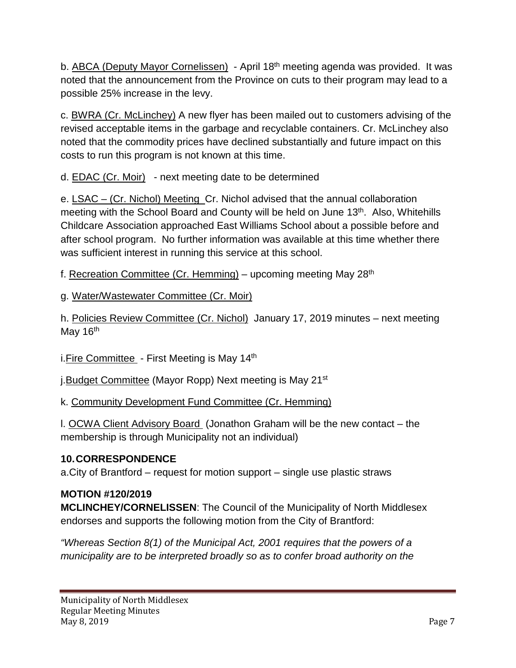b. ABCA (Deputy Mayor Cornelissen) - April 18<sup>th</sup> meeting agenda was provided. It was noted that the announcement from the Province on cuts to their program may lead to a possible 25% increase in the levy.

c. BWRA (Cr. McLinchey) A new flyer has been mailed out to customers advising of the revised acceptable items in the garbage and recyclable containers. Cr. McLinchey also noted that the commodity prices have declined substantially and future impact on this costs to run this program is not known at this time.

d. EDAC (Cr. Moir) - next meeting date to be determined

e. LSAC – (Cr. Nichol) Meeting Cr. Nichol advised that the annual collaboration meeting with the School Board and County will be held on June 13<sup>th</sup>. Also, Whitehills Childcare Association approached East Williams School about a possible before and after school program. No further information was available at this time whether there was sufficient interest in running this service at this school.

f. Recreation Committee (Cr. Hemming) – upcoming meeting May  $28<sup>th</sup>$ 

g. Water/Wastewater Committee (Cr. Moir)

h. Policies Review Committee (Cr. Nichol) January 17, 2019 minutes – next meeting May 16<sup>th</sup>

i. Fire Committee - First Meeting is May 14<sup>th</sup>

j.Budget Committee (Mayor Ropp) Next meeting is May 21st

k. Community Development Fund Committee (Cr. Hemming)

l. OCWA Client Advisory Board (Jonathon Graham will be the new contact – the membership is through Municipality not an individual)

# **10.CORRESPONDENCE**

a.City of Brantford – request for motion support – single use plastic straws

### **MOTION #120/2019**

**MCLINCHEY/CORNELISSEN**: The Council of the Municipality of North Middlesex endorses and supports the following motion from the City of Brantford:

*"Whereas Section 8(1) of the Municipal Act, 2001 requires that the powers of a municipality are to be interpreted broadly so as to confer broad authority on the*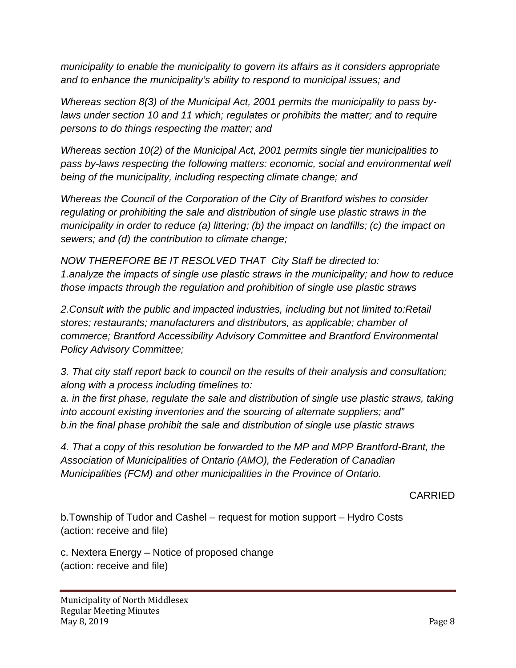*municipality to enable the municipality to govern its affairs as it considers appropriate and to enhance the municipality's ability to respond to municipal issues; and*

*Whereas section 8(3) of the Municipal Act, 2001 permits the municipality to pass bylaws under section 10 and 11 which; regulates or prohibits the matter; and to require persons to do things respecting the matter; and*

*Whereas section 10(2) of the Municipal Act, 2001 permits single tier municipalities to pass by-laws respecting the following matters: economic, social and environmental well being of the municipality, including respecting climate change; and*

*Whereas the Council of the Corporation of the City of Brantford wishes to consider regulating or prohibiting the sale and distribution of single use plastic straws in the municipality in order to reduce (a) littering; (b) the impact on landfills; (c) the impact on sewers; and (d) the contribution to climate change;*

*NOW THEREFORE BE IT RESOLVED THAT City Staff be directed to: 1.analyze the impacts of single use plastic straws in the municipality; and how to reduce those impacts through the regulation and prohibition of single use plastic straws*

*2.Consult with the public and impacted industries, including but not limited to:Retail stores; restaurants; manufacturers and distributors, as applicable; chamber of commerce; Brantford Accessibility Advisory Committee and Brantford Environmental Policy Advisory Committee;* 

*3. That city staff report back to council on the results of their analysis and consultation; along with a process including timelines to:* 

*a. in the first phase, regulate the sale and distribution of single use plastic straws, taking into account existing inventories and the sourcing of alternate suppliers; and" b.in the final phase prohibit the sale and distribution of single use plastic straws*

*4. That a copy of this resolution be forwarded to the MP and MPP Brantford-Brant, the Association of Municipalities of Ontario (AMO), the Federation of Canadian Municipalities (FCM) and other municipalities in the Province of Ontario.*

CARRIED

b.Township of Tudor and Cashel – request for motion support – Hydro Costs (action: receive and file)

c. Nextera Energy – Notice of proposed change (action: receive and file)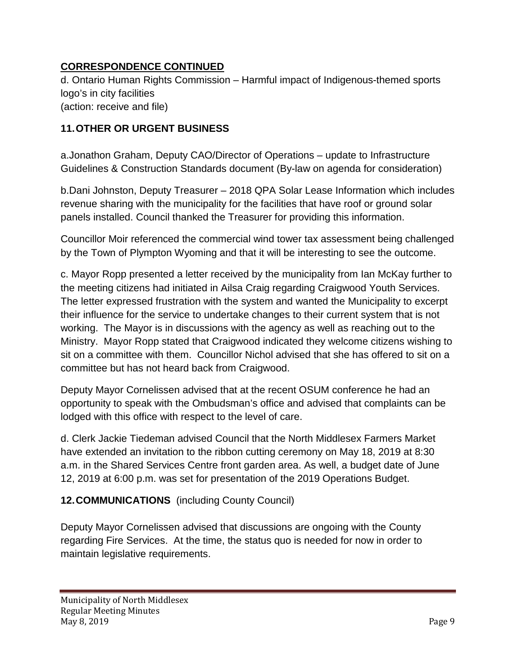# **CORRESPONDENCE CONTINUED**

d. Ontario Human Rights Commission – Harmful impact of Indigenous-themed sports logo's in city facilities (action: receive and file)

# **11.OTHER OR URGENT BUSINESS**

a.Jonathon Graham, Deputy CAO/Director of Operations – update to Infrastructure Guidelines & Construction Standards document (By-law on agenda for consideration)

b.Dani Johnston, Deputy Treasurer – 2018 QPA Solar Lease Information which includes revenue sharing with the municipality for the facilities that have roof or ground solar panels installed. Council thanked the Treasurer for providing this information.

Councillor Moir referenced the commercial wind tower tax assessment being challenged by the Town of Plympton Wyoming and that it will be interesting to see the outcome.

c. Mayor Ropp presented a letter received by the municipality from Ian McKay further to the meeting citizens had initiated in Ailsa Craig regarding Craigwood Youth Services. The letter expressed frustration with the system and wanted the Municipality to excerpt their influence for the service to undertake changes to their current system that is not working. The Mayor is in discussions with the agency as well as reaching out to the Ministry. Mayor Ropp stated that Craigwood indicated they welcome citizens wishing to sit on a committee with them. Councillor Nichol advised that she has offered to sit on a committee but has not heard back from Craigwood.

Deputy Mayor Cornelissen advised that at the recent OSUM conference he had an opportunity to speak with the Ombudsman's office and advised that complaints can be lodged with this office with respect to the level of care.

d. Clerk Jackie Tiedeman advised Council that the North Middlesex Farmers Market have extended an invitation to the ribbon cutting ceremony on May 18, 2019 at 8:30 a.m. in the Shared Services Centre front garden area. As well, a budget date of June 12, 2019 at 6:00 p.m. was set for presentation of the 2019 Operations Budget.

# **12.COMMUNICATIONS** (including County Council)

Deputy Mayor Cornelissen advised that discussions are ongoing with the County regarding Fire Services. At the time, the status quo is needed for now in order to maintain legislative requirements.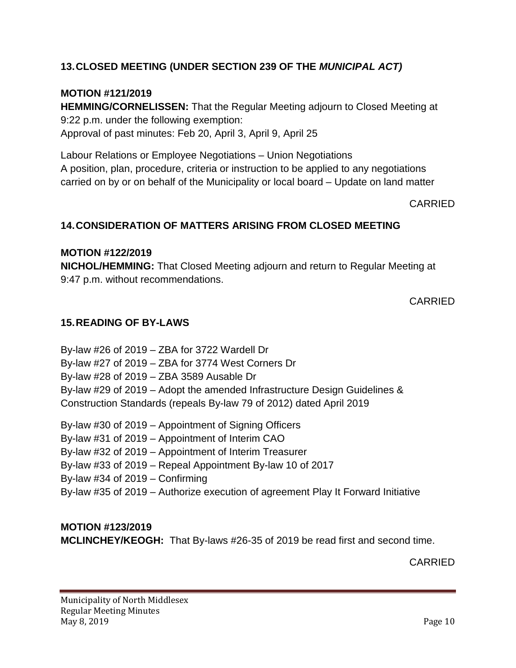# **13.CLOSED MEETING (UNDER SECTION 239 OF THE** *MUNICIPAL ACT)*

## **MOTION #121/2019**

**HEMMING/CORNELISSEN:** That the Regular Meeting adjourn to Closed Meeting at 9:22 p.m. under the following exemption: Approval of past minutes: Feb 20, April 3, April 9, April 25

Labour Relations or Employee Negotiations – Union Negotiations A position, plan, procedure, criteria or instruction to be applied to any negotiations carried on by or on behalf of the Municipality or local board – Update on land matter

CARRIED

### **14.CONSIDERATION OF MATTERS ARISING FROM CLOSED MEETING**

#### **MOTION #122/2019**

**NICHOL/HEMMING:** That Closed Meeting adjourn and return to Regular Meeting at 9:47 p.m. without recommendations.

CARRIED

### **15.READING OF BY-LAWS**

By-law #26 of 2019 – ZBA for 3722 Wardell Dr By-law #27 of 2019 – ZBA for 3774 West Corners Dr By-law #28 of 2019 – ZBA 3589 Ausable Dr By-law #29 of 2019 – Adopt the amended Infrastructure Design Guidelines & Construction Standards (repeals By-law 79 of 2012) dated April 2019

By-law #30 of 2019 – Appointment of Signing Officers By-law #31 of 2019 – Appointment of Interim CAO

- By-law #32 of 2019 Appointment of Interim Treasurer
- By-law #33 of 2019 Repeal Appointment By-law 10 of 2017

By-law #34 of 2019 – Confirming

By-law #35 of 2019 – Authorize execution of agreement Play It Forward Initiative

### **MOTION #123/2019**

**MCLINCHEY/KEOGH:** That By-laws #26-35 of 2019 be read first and second time.

CARRIED